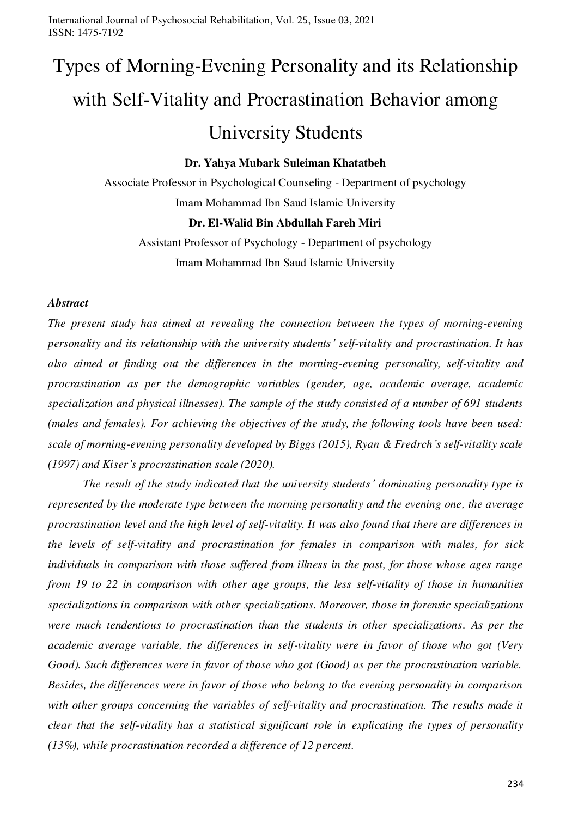# Types of Morning-Evening Personality and its Relationship with Self-Vitality and Procrastination Behavior among

## University Students

#### **Dr. Yahya Mubark Suleiman Khatatbeh**

Associate Professor in Psychological Counseling - Department of psychology Imam Mohammad Ibn Saud Islamic University

#### **Dr. El-Walid Bin Abdullah Fareh Miri**

Assistant Professor of Psychology - Department of psychology Imam Mohammad Ibn Saud Islamic University

#### *Abstract*

*The present study has aimed at revealing the connection between the types of morning-evening personality and its relationship with the university students' self-vitality and procrastination. It has also aimed at finding out the differences in the morning-evening personality, self-vitality and procrastination as per the demographic variables (gender, age, academic average, academic specialization and physical illnesses). The sample of the study consisted of a number of 691 students (males and females). For achieving the objectives of the study, the following tools have been used: scale of morning-evening personality developed by Biggs (2015), Ryan & Fredrch's self-vitality scale (1997) and Kiser's procrastination scale (2020).* 

 *The result of the study indicated that the university students' dominating personality type is represented by the moderate type between the morning personality and the evening one, the average procrastination level and the high level of self-vitality. It was also found that there are differences in the levels of self-vitality and procrastination for females in comparison with males, for sick individuals in comparison with those suffered from illness in the past, for those whose ages range from 19 to 22 in comparison with other age groups, the less self-vitality of those in humanities specializations in comparison with other specializations. Moreover, those in forensic specializations were much tendentious to procrastination than the students in other specializations. As per the academic average variable, the differences in self-vitality were in favor of those who got (Very Good). Such differences were in favor of those who got (Good) as per the procrastination variable. Besides, the differences were in favor of those who belong to the evening personality in comparison with other groups concerning the variables of self-vitality and procrastination. The results made it clear that the self-vitality has a statistical significant role in explicating the types of personality (13%), while procrastination recorded a difference of 12 percent.*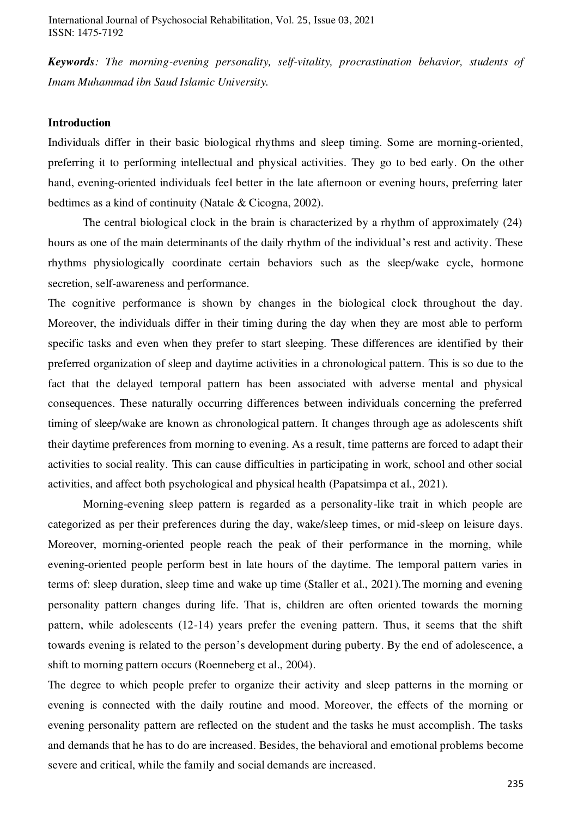*Keywords: The morning-evening personality, self-vitality, procrastination behavior, students of Imam Muhammad ibn Saud Islamic University.* 

#### **Introduction**

Individuals differ in their basic biological rhythms and sleep timing. Some are morning-oriented, preferring it to performing intellectual and physical activities. They go to bed early. On the other hand, evening-oriented individuals feel better in the late afternoon or evening hours, preferring later bedtimes as a kind of continuity (Natale & Cicogna, 2002).

 The central biological clock in the brain is characterized by a rhythm of approximately (24) hours as one of the main determinants of the daily rhythm of the individual's rest and activity. These rhythms physiologically coordinate certain behaviors such as the sleep/wake cycle, hormone secretion, self-awareness and performance.

The cognitive performance is shown by changes in the biological clock throughout the day. Moreover, the individuals differ in their timing during the day when they are most able to perform specific tasks and even when they prefer to start sleeping. These differences are identified by their preferred organization of sleep and daytime activities in a chronological pattern. This is so due to the fact that the delayed temporal pattern has been associated with adverse mental and physical consequences. These naturally occurring differences between individuals concerning the preferred timing of sleep/wake are known as chronological pattern. It changes through age as adolescents shift their daytime preferences from morning to evening. As a result, time patterns are forced to adapt their activities to social reality. This can cause difficulties in participating in work, school and other social activities, and affect both psychological and physical health (Papatsimpa et al., 2021).

 Morning-evening sleep pattern is regarded as a personality-like trait in which people are categorized as per their preferences during the day, wake/sleep times, or mid-sleep on leisure days. Moreover, morning-oriented people reach the peak of their performance in the morning, while evening-oriented people perform best in late hours of the daytime. The temporal pattern varies in terms of: sleep duration, sleep time and wake up time (Staller et al., 2021).The morning and evening personality pattern changes during life. That is, children are often oriented towards the morning pattern, while adolescents (12-14) years prefer the evening pattern. Thus, it seems that the shift towards evening is related to the person's development during puberty. By the end of adolescence, a shift to morning pattern occurs (Roenneberg et al., 2004).

The degree to which people prefer to organize their activity and sleep patterns in the morning or evening is connected with the daily routine and mood. Moreover, the effects of the morning or evening personality pattern are reflected on the student and the tasks he must accomplish. The tasks and demands that he has to do are increased. Besides, the behavioral and emotional problems become severe and critical, while the family and social demands are increased.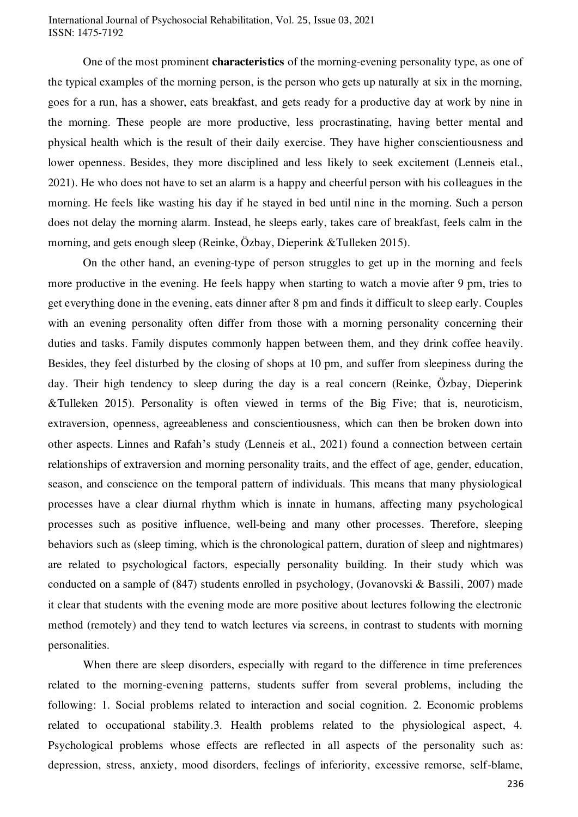One of the most prominent **characteristics** of the morning-evening personality type, as one of the typical examples of the morning person, is the person who gets up naturally at six in the morning, goes for a run, has a shower, eats breakfast, and gets ready for a productive day at work by nine in the morning. These people are more productive, less procrastinating, having better mental and physical health which is the result of their daily exercise. They have higher conscientiousness and lower openness. Besides, they more disciplined and less likely to seek excitement (Lenneis etal., 2021). He who does not have to set an alarm is a happy and cheerful person with his colleagues in the morning. He feels like wasting his day if he stayed in bed until nine in the morning. Such a person does not delay the morning alarm. Instead, he sleeps early, takes care of breakfast, feels calm in the morning, and gets enough sleep (Reinke, Özbay, Dieperink &Tulleken 2015).

 On the other hand, an evening-type of person struggles to get up in the morning and feels more productive in the evening. He feels happy when starting to watch a movie after 9 pm, tries to get everything done in the evening, eats dinner after 8 pm and finds it difficult to sleep early. Couples with an evening personality often differ from those with a morning personality concerning their duties and tasks. Family disputes commonly happen between them, and they drink coffee heavily. Besides, they feel disturbed by the closing of shops at 10 pm, and suffer from sleepiness during the day. Their high tendency to sleep during the day is a real concern (Reinke, Özbay, Dieperink &Tulleken 2015). Personality is often viewed in terms of the Big Five; that is, neuroticism, extraversion, openness, agreeableness and conscientiousness, which can then be broken down into other aspects. Linnes and Rafah's study (Lenneis et al., 2021) found a connection between certain relationships of extraversion and morning personality traits, and the effect of age, gender, education, season, and conscience on the temporal pattern of individuals. This means that many physiological processes have a clear diurnal rhythm which is innate in humans, affecting many psychological processes such as positive influence, well-being and many other processes. Therefore, sleeping behaviors such as (sleep timing, which is the chronological pattern, duration of sleep and nightmares) are related to psychological factors, especially personality building. In their study which was conducted on a sample of (847) students enrolled in psychology, (Jovanovski & Bassili, 2007) made it clear that students with the evening mode are more positive about lectures following the electronic method (remotely) and they tend to watch lectures via screens, in contrast to students with morning personalities.

When there are sleep disorders, especially with regard to the difference in time preferences related to the morning-evening patterns, students suffer from several problems, including the following: 1. Social problems related to interaction and social cognition. 2. Economic problems related to occupational stability.3. Health problems related to the physiological aspect, 4. Psychological problems whose effects are reflected in all aspects of the personality such as: depression, stress, anxiety, mood disorders, feelings of inferiority, excessive remorse, self-blame,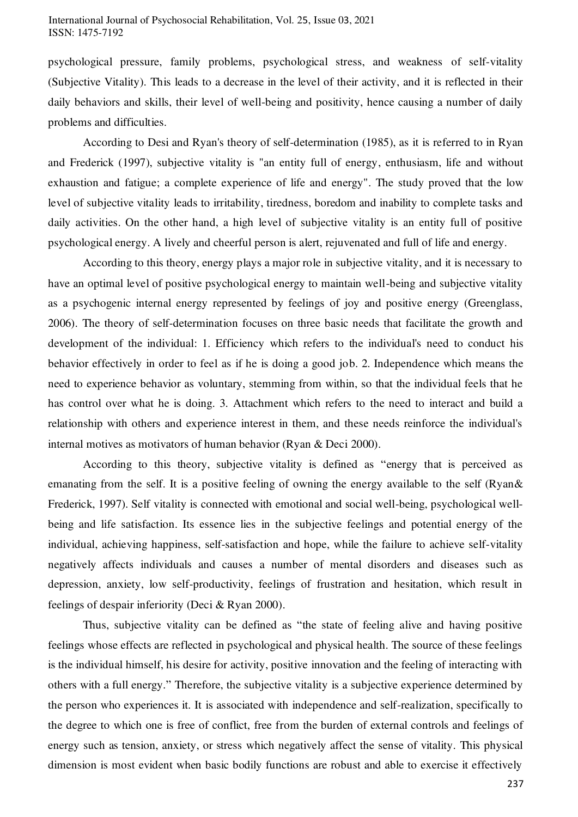psychological pressure, family problems, psychological stress, and weakness of self-vitality (Subjective Vitality). This leads to a decrease in the level of their activity, and it is reflected in their daily behaviors and skills, their level of well-being and positivity, hence causing a number of daily problems and difficulties.

 According to Desi and Ryan's theory of self-determination (1985), as it is referred to in Ryan and Frederick (1997), subjective vitality is "an entity full of energy, enthusiasm, life and without exhaustion and fatigue; a complete experience of life and energy". The study proved that the low level of subjective vitality leads to irritability, tiredness, boredom and inability to complete tasks and daily activities. On the other hand, a high level of subjective vitality is an entity full of positive psychological energy. A lively and cheerful person is alert, rejuvenated and full of life and energy.

 According to this theory, energy plays a major role in subjective vitality, and it is necessary to have an optimal level of positive psychological energy to maintain well-being and subjective vitality as a psychogenic internal energy represented by feelings of joy and positive energy (Greenglass, 2006). The theory of self-determination focuses on three basic needs that facilitate the growth and development of the individual: 1. Efficiency which refers to the individual's need to conduct his behavior effectively in order to feel as if he is doing a good job. 2. Independence which means the need to experience behavior as voluntary, stemming from within, so that the individual feels that he has control over what he is doing. 3. Attachment which refers to the need to interact and build a relationship with others and experience interest in them, and these needs reinforce the individual's internal motives as motivators of human behavior (Ryan & Deci 2000).

 According to this theory, subjective vitality is defined as "energy that is perceived as emanating from the self. It is a positive feeling of owning the energy available to the self (Ryan& Frederick, 1997). Self vitality is connected with emotional and social well-being, psychological wellbeing and life satisfaction. Its essence lies in the subjective feelings and potential energy of the individual, achieving happiness, self-satisfaction and hope, while the failure to achieve self-vitality negatively affects individuals and causes a number of mental disorders and diseases such as depression, anxiety, low self-productivity, feelings of frustration and hesitation, which result in feelings of despair inferiority (Deci & Ryan 2000).

 Thus, subjective vitality can be defined as "the state of feeling alive and having positive feelings whose effects are reflected in psychological and physical health. The source of these feelings is the individual himself, his desire for activity, positive innovation and the feeling of interacting with others with a full energy." Therefore, the subjective vitality is a subjective experience determined by the person who experiences it. It is associated with independence and self-realization, specifically to the degree to which one is free of conflict, free from the burden of external controls and feelings of energy such as tension, anxiety, or stress which negatively affect the sense of vitality. This physical dimension is most evident when basic bodily functions are robust and able to exercise it effectively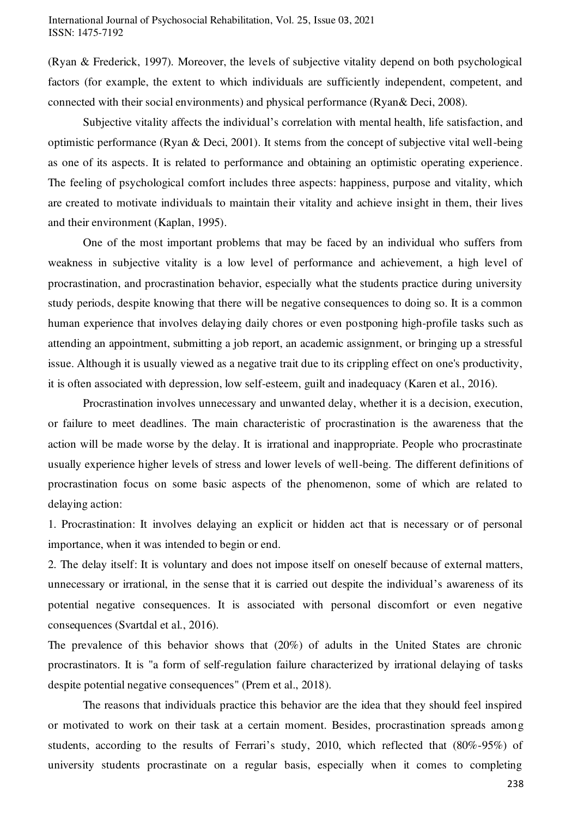(Ryan & Frederick, 1997). Moreover, the levels of subjective vitality depend on both psychological factors (for example, the extent to which individuals are sufficiently independent, competent, and connected with their social environments) and physical performance (Ryan& Deci, 2008).

 Subjective vitality affects the individual's correlation with mental health, life satisfaction, and optimistic performance (Ryan & Deci, 2001). It stems from the concept of subjective vital well-being as one of its aspects. It is related to performance and obtaining an optimistic operating experience. The feeling of psychological comfort includes three aspects: happiness, purpose and vitality, which are created to motivate individuals to maintain their vitality and achieve insight in them, their lives and their environment (Kaplan, 1995).

 One of the most important problems that may be faced by an individual who suffers from weakness in subjective vitality is a low level of performance and achievement, a high level of procrastination, and procrastination behavior, especially what the students practice during university study periods, despite knowing that there will be negative consequences to doing so. It is a common human experience that involves delaying daily chores or even postponing high-profile tasks such as attending an appointment, submitting a job report, an academic assignment, or bringing up a stressful issue. Although it is usually viewed as a negative trait due to its crippling effect on one's productivity, it is often associated with depression, low self-esteem, guilt and inadequacy (Karen et al., 2016).

 Procrastination involves unnecessary and unwanted delay, whether it is a decision, execution, or failure to meet deadlines. The main characteristic of procrastination is the awareness that the action will be made worse by the delay. It is irrational and inappropriate. People who procrastinate usually experience higher levels of stress and lower levels of well-being. The different definitions of procrastination focus on some basic aspects of the phenomenon, some of which are related to delaying action:

1. Procrastination: It involves delaying an explicit or hidden act that is necessary or of personal importance, when it was intended to begin or end.

2. The delay itself: It is voluntary and does not impose itself on oneself because of external matters, unnecessary or irrational, in the sense that it is carried out despite the individual's awareness of its potential negative consequences. It is associated with personal discomfort or even negative consequences (Svartdal et al., 2016).

The prevalence of this behavior shows that (20%) of adults in the United States are chronic procrastinators. It is "a form of self-regulation failure characterized by irrational delaying of tasks despite potential negative consequences" (Prem et al., 2018).

 The reasons that individuals practice this behavior are the idea that they should feel inspired or motivated to work on their task at a certain moment. Besides, procrastination spreads among students, according to the results of Ferrari's study, 2010, which reflected that (80%-95%) of university students procrastinate on a regular basis, especially when it comes to completing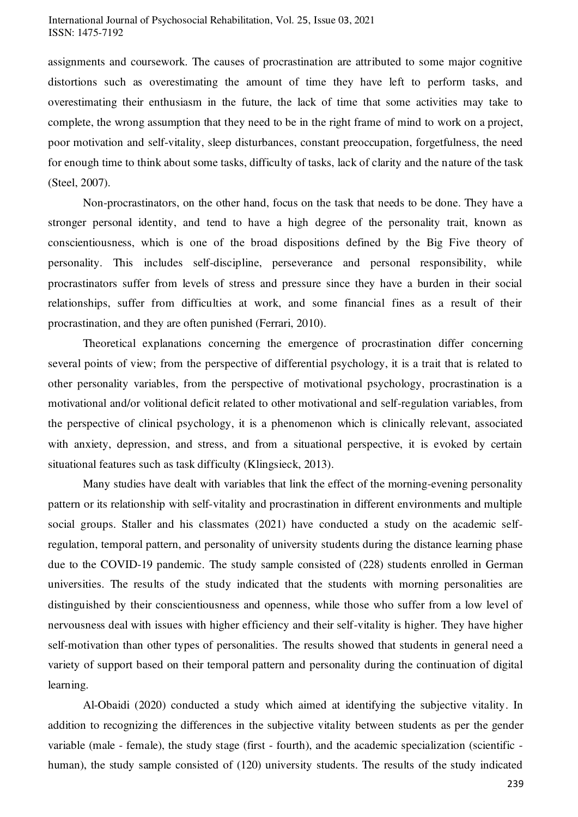assignments and coursework. The causes of procrastination are attributed to some major cognitive distortions such as overestimating the amount of time they have left to perform tasks, and overestimating their enthusiasm in the future, the lack of time that some activities may take to complete, the wrong assumption that they need to be in the right frame of mind to work on a project, poor motivation and self-vitality, sleep disturbances, constant preoccupation, forgetfulness, the need for enough time to think about some tasks, difficulty of tasks, lack of clarity and the nature of the task (Steel, 2007).

 Non-procrastinators, on the other hand, focus on the task that needs to be done. They have a stronger personal identity, and tend to have a high degree of the personality trait, known as conscientiousness, which is one of the broad dispositions defined by the Big Five theory of personality. This includes self-discipline, perseverance and personal responsibility, while procrastinators suffer from levels of stress and pressure since they have a burden in their social relationships, suffer from difficulties at work, and some financial fines as a result of their procrastination, and they are often punished (Ferrari, 2010).

 Theoretical explanations concerning the emergence of procrastination differ concerning several points of view; from the perspective of differential psychology, it is a trait that is related to other personality variables, from the perspective of motivational psychology, procrastination is a motivational and/or volitional deficit related to other motivational and self-regulation variables, from the perspective of clinical psychology, it is a phenomenon which is clinically relevant, associated with anxiety, depression, and stress, and from a situational perspective, it is evoked by certain situational features such as task difficulty (Klingsieck, 2013).

 Many studies have dealt with variables that link the effect of the morning-evening personality pattern or its relationship with self-vitality and procrastination in different environments and multiple social groups. Staller and his classmates (2021) have conducted a study on the academic selfregulation, temporal pattern, and personality of university students during the distance learning phase due to the COVID-19 pandemic. The study sample consisted of (228) students enrolled in German universities. The results of the study indicated that the students with morning personalities are distinguished by their conscientiousness and openness, while those who suffer from a low level of nervousness deal with issues with higher efficiency and their self-vitality is higher. They have higher self-motivation than other types of personalities. The results showed that students in general need a variety of support based on their temporal pattern and personality during the continuation of digital learning.

Al-Obaidi (2020) conducted a study which aimed at identifying the subjective vitality. In addition to recognizing the differences in the subjective vitality between students as per the gender variable (male - female), the study stage (first - fourth), and the academic specialization (scientific human), the study sample consisted of (120) university students. The results of the study indicated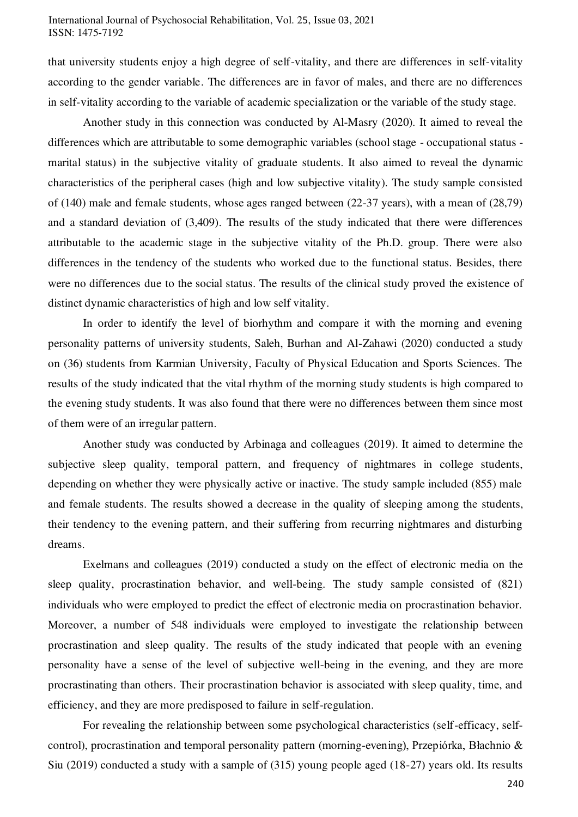that university students enjoy a high degree of self-vitality, and there are differences in self-vitality according to the gender variable. The differences are in favor of males, and there are no differences in self-vitality according to the variable of academic specialization or the variable of the study stage.

 Another study in this connection was conducted by Al-Masry (2020). It aimed to reveal the differences which are attributable to some demographic variables (school stage - occupational status marital status) in the subjective vitality of graduate students. It also aimed to reveal the dynamic characteristics of the peripheral cases (high and low subjective vitality). The study sample consisted of (140) male and female students, whose ages ranged between (22-37 years), with a mean of (28,79) and a standard deviation of (3,409). The results of the study indicated that there were differences attributable to the academic stage in the subjective vitality of the Ph.D. group. There were also differences in the tendency of the students who worked due to the functional status. Besides, there were no differences due to the social status. The results of the clinical study proved the existence of distinct dynamic characteristics of high and low self vitality.

 In order to identify the level of biorhythm and compare it with the morning and evening personality patterns of university students, Saleh, Burhan and Al-Zahawi (2020) conducted a study on (36) students from Karmian University, Faculty of Physical Education and Sports Sciences. The results of the study indicated that the vital rhythm of the morning study students is high compared to the evening study students. It was also found that there were no differences between them since most of them were of an irregular pattern.

 Another study was conducted by Arbinaga and colleagues (2019). It aimed to determine the subjective sleep quality, temporal pattern, and frequency of nightmares in college students, depending on whether they were physically active or inactive. The study sample included (855) male and female students. The results showed a decrease in the quality of sleeping among the students, their tendency to the evening pattern, and their suffering from recurring nightmares and disturbing dreams.

 Exelmans and colleagues (2019) conducted a study on the effect of electronic media on the sleep quality, procrastination behavior, and well-being. The study sample consisted of (821) individuals who were employed to predict the effect of electronic media on procrastination behavior. Moreover, a number of 548 individuals were employed to investigate the relationship between procrastination and sleep quality. The results of the study indicated that people with an evening personality have a sense of the level of subjective well-being in the evening, and they are more procrastinating than others. Their procrastination behavior is associated with sleep quality, time, and efficiency, and they are more predisposed to failure in self-regulation.

 For revealing the relationship between some psychological characteristics (self-efficacy, selfcontrol), procrastination and temporal personality pattern (morning-evening), Przepiórka, Błachnio & Siu (2019) conducted a study with a sample of (315) young people aged (18-27) years old. Its results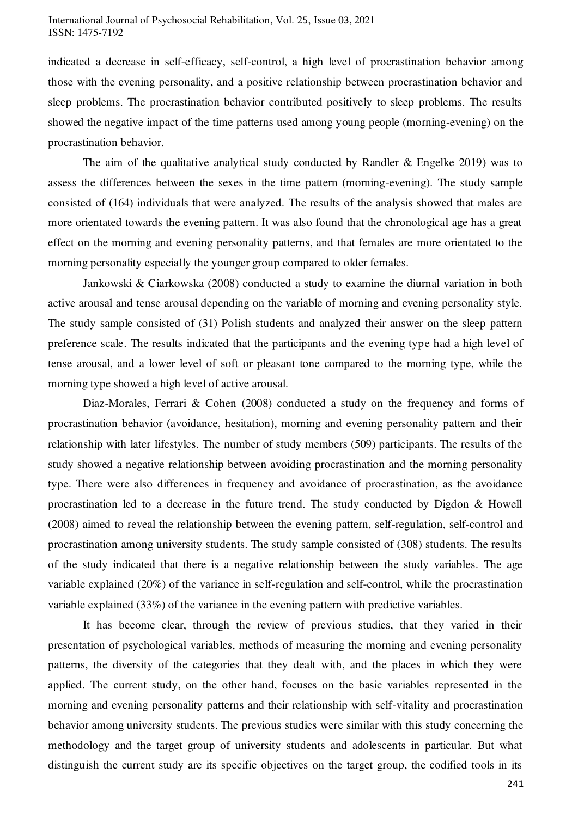indicated a decrease in self-efficacy, self-control, a high level of procrastination behavior among those with the evening personality, and a positive relationship between procrastination behavior and sleep problems. The procrastination behavior contributed positively to sleep problems. The results showed the negative impact of the time patterns used among young people (morning-evening) on the procrastination behavior.

The aim of the qualitative analytical study conducted by Randler  $\&$  Engelke 2019) was to assess the differences between the sexes in the time pattern (morning-evening). The study sample consisted of (164) individuals that were analyzed. The results of the analysis showed that males are more orientated towards the evening pattern. It was also found that the chronological age has a great effect on the morning and evening personality patterns, and that females are more orientated to the morning personality especially the younger group compared to older females.

 Jankowski & Ciarkowska (2008) conducted a study to examine the diurnal variation in both active arousal and tense arousal depending on the variable of morning and evening personality style. The study sample consisted of (31) Polish students and analyzed their answer on the sleep pattern preference scale. The results indicated that the participants and the evening type had a high level of tense arousal, and a lower level of soft or pleasant tone compared to the morning type, while the morning type showed a high level of active arousal.

 Diaz-Morales, Ferrari & Cohen (2008) conducted a study on the frequency and forms of procrastination behavior (avoidance, hesitation), morning and evening personality pattern and their relationship with later lifestyles. The number of study members (509) participants. The results of the study showed a negative relationship between avoiding procrastination and the morning personality type. There were also differences in frequency and avoidance of procrastination, as the avoidance procrastination led to a decrease in the future trend. The study conducted by Digdon & Howell (2008) aimed to reveal the relationship between the evening pattern, self-regulation, self-control and procrastination among university students. The study sample consisted of (308) students. The results of the study indicated that there is a negative relationship between the study variables. The age variable explained (20%) of the variance in self-regulation and self-control, while the procrastination variable explained (33%) of the variance in the evening pattern with predictive variables.

 It has become clear, through the review of previous studies, that they varied in their presentation of psychological variables, methods of measuring the morning and evening personality patterns, the diversity of the categories that they dealt with, and the places in which they were applied. The current study, on the other hand, focuses on the basic variables represented in the morning and evening personality patterns and their relationship with self-vitality and procrastination behavior among university students. The previous studies were similar with this study concerning the methodology and the target group of university students and adolescents in particular. But what distinguish the current study are its specific objectives on the target group, the codified tools in its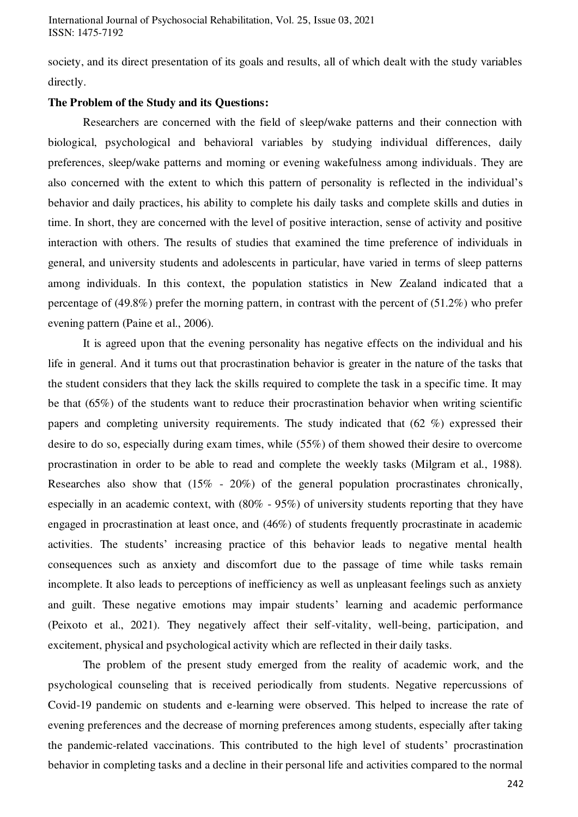society, and its direct presentation of its goals and results, all of which dealt with the study variables directly.

#### **The Problem of the Study and its Questions:**

 Researchers are concerned with the field of sleep/wake patterns and their connection with biological, psychological and behavioral variables by studying individual differences, daily preferences, sleep/wake patterns and morning or evening wakefulness among individuals. They are also concerned with the extent to which this pattern of personality is reflected in the individual's behavior and daily practices, his ability to complete his daily tasks and complete skills and duties in time. In short, they are concerned with the level of positive interaction, sense of activity and positive interaction with others. The results of studies that examined the time preference of individuals in general, and university students and adolescents in particular, have varied in terms of sleep patterns among individuals. In this context, the population statistics in New Zealand indicated that a percentage of (49.8%) prefer the morning pattern, in contrast with the percent of (51.2%) who prefer evening pattern (Paine et al., 2006).

 It is agreed upon that the evening personality has negative effects on the individual and his life in general. And it turns out that procrastination behavior is greater in the nature of the tasks that the student considers that they lack the skills required to complete the task in a specific time. It may be that (65%) of the students want to reduce their procrastination behavior when writing scientific papers and completing university requirements. The study indicated that (62 %) expressed their desire to do so, especially during exam times, while (55%) of them showed their desire to overcome procrastination in order to be able to read and complete the weekly tasks (Milgram et al., 1988). Researches also show that (15% - 20%) of the general population procrastinates chronically, especially in an academic context, with (80% - 95%) of university students reporting that they have engaged in procrastination at least once, and (46%) of students frequently procrastinate in academic activities. The students' increasing practice of this behavior leads to negative mental health consequences such as anxiety and discomfort due to the passage of time while tasks remain incomplete. It also leads to perceptions of inefficiency as well as unpleasant feelings such as anxiety and guilt. These negative emotions may impair students' learning and academic performance (Peixoto et al., 2021). They negatively affect their self-vitality, well-being, participation, and excitement, physical and psychological activity which are reflected in their daily tasks.

 The problem of the present study emerged from the reality of academic work, and the psychological counseling that is received periodically from students. Negative repercussions of Covid-19 pandemic on students and e-learning were observed. This helped to increase the rate of evening preferences and the decrease of morning preferences among students, especially after taking the pandemic-related vaccinations. This contributed to the high level of students' procrastination behavior in completing tasks and a decline in their personal life and activities compared to the normal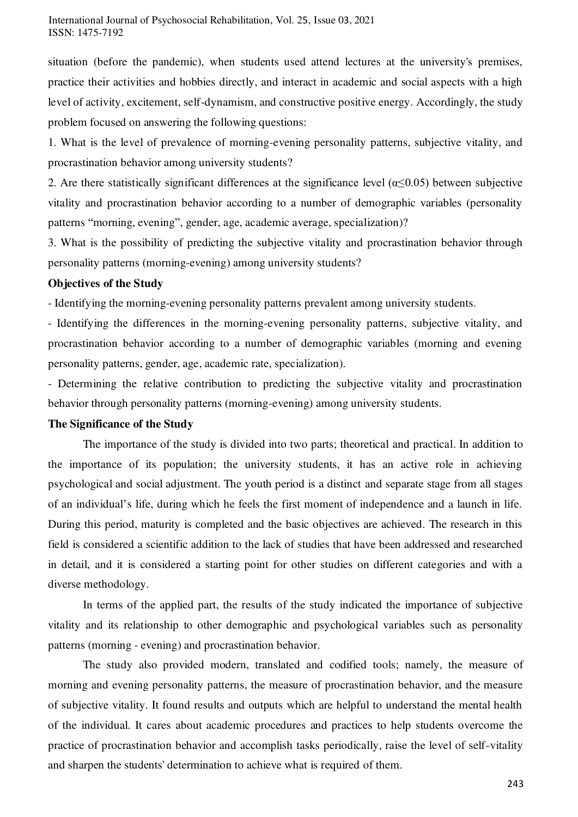situation (before the pandemic), when students used attend lectures at the university's premises, practice their activities and hobbies directly, and interact in academic and social aspects with a high level of activity, excitement, self-dynamism, and constructive positive energy. Accordingly, the study problem focused on answering the following questions:

1. What is the level of prevalence of morning-evening personality patterns, subjective vitality, and procrastination behavior among university students?

2. Are there statistically significant differences at the significance level ( $\alpha \leq 0.05$ ) between subjective vitality and procrastination behavior according to a number of demographic variables (personality patterns "morning, evening", gender, age, academic average, specialization)?

3. What is the possibility of predicting the subjective vitality and procrastination behavior through personality patterns (morning-evening) among university students?

#### **Objectives of the Study**

- Identifying the morning-evening personality patterns prevalent among university students.

- Identifying the differences in the morning-evening personality patterns, subjective vitality, and procrastination behavior according to a number of demographic variables (morning and evening personality patterns, gender, age, academic rate, specialization).

- Determining the relative contribution to predicting the subjective vitality and procrastination behavior through personality patterns (morning-evening) among university students.

#### **The Significance of the Study**

The importance of the study is divided into two parts; theoretical and practical. In addition to the importance of its population; the university students, it has an active role in achieving psychological and social adjustment. The youth period is a distinct and separate stage from all stages of an individual's life, during which he feels the first moment of independence and a launch in life. During this period, maturity is completed and the basic objectives are achieved. The research in this field is considered a scientific addition to the lack of studies that have been addressed and researched in detail, and it is considered a starting point for other studies on different categories and with a diverse methodology.

 In terms of the applied part, the results of the study indicated the importance of subjective vitality and its relationship to other demographic and psychological variables such as personality patterns (morning - evening) and procrastination behavior.

 The study also provided modern, translated and codified tools; namely, the measure of morning and evening personality patterns, the measure of procrastination behavior, and the measure of subjective vitality. It found results and outputs which are helpful to understand the mental health of the individual. It cares about academic procedures and practices to help students overcome the practice of procrastination behavior and accomplish tasks periodically, raise the level of self-vitality and sharpen the students' determination to achieve what is required of them.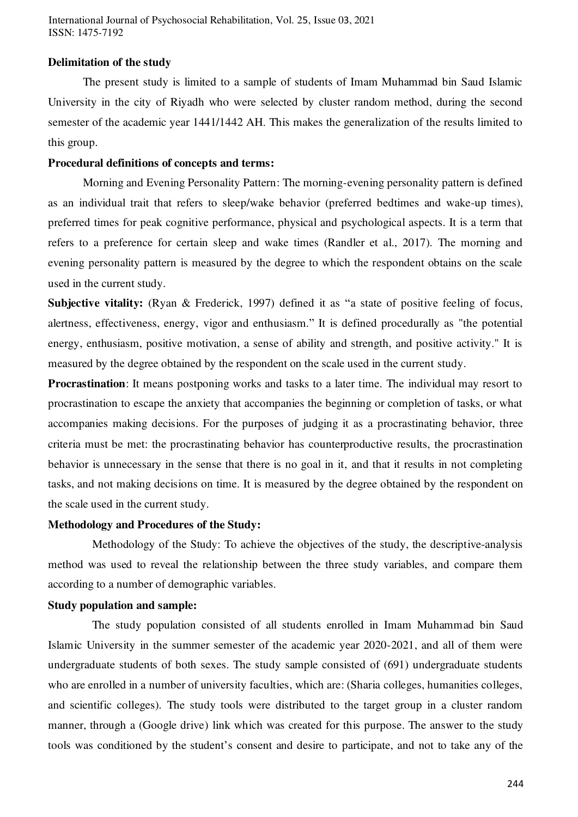#### **Delimitation of the study**

 The present study is limited to a sample of students of Imam Muhammad bin Saud Islamic University in the city of Riyadh who were selected by cluster random method, during the second semester of the academic year 1441/1442 AH. This makes the generalization of the results limited to this group.

#### **Procedural definitions of concepts and terms:**

 Morning and Evening Personality Pattern: The morning-evening personality pattern is defined as an individual trait that refers to sleep/wake behavior (preferred bedtimes and wake-up times), preferred times for peak cognitive performance, physical and psychological aspects. It is a term that refers to a preference for certain sleep and wake times (Randler et al., 2017). The morning and evening personality pattern is measured by the degree to which the respondent obtains on the scale used in the current study.

**Subjective vitality:** (Ryan & Frederick, 1997) defined it as "a state of positive feeling of focus, alertness, effectiveness, energy, vigor and enthusiasm." It is defined procedurally as "the potential energy, enthusiasm, positive motivation, a sense of ability and strength, and positive activity." It is measured by the degree obtained by the respondent on the scale used in the current study.

**Procrastination**: It means postponing works and tasks to a later time. The individual may resort to procrastination to escape the anxiety that accompanies the beginning or completion of tasks, or what accompanies making decisions. For the purposes of judging it as a procrastinating behavior, three criteria must be met: the procrastinating behavior has counterproductive results, the procrastination behavior is unnecessary in the sense that there is no goal in it, and that it results in not completing tasks, and not making decisions on time. It is measured by the degree obtained by the respondent on the scale used in the current study.

#### **Methodology and Procedures of the Study:**

 Methodology of the Study: To achieve the objectives of the study, the descriptive-analysis method was used to reveal the relationship between the three study variables, and compare them according to a number of demographic variables.

#### **Study population and sample:**

 The study population consisted of all students enrolled in Imam Muhammad bin Saud Islamic University in the summer semester of the academic year 2020-2021, and all of them were undergraduate students of both sexes. The study sample consisted of (691) undergraduate students who are enrolled in a number of university faculties, which are: (Sharia colleges, humanities colleges, and scientific colleges). The study tools were distributed to the target group in a cluster random manner, through a (Google drive) link which was created for this purpose. The answer to the study tools was conditioned by the student's consent and desire to participate, and not to take any of the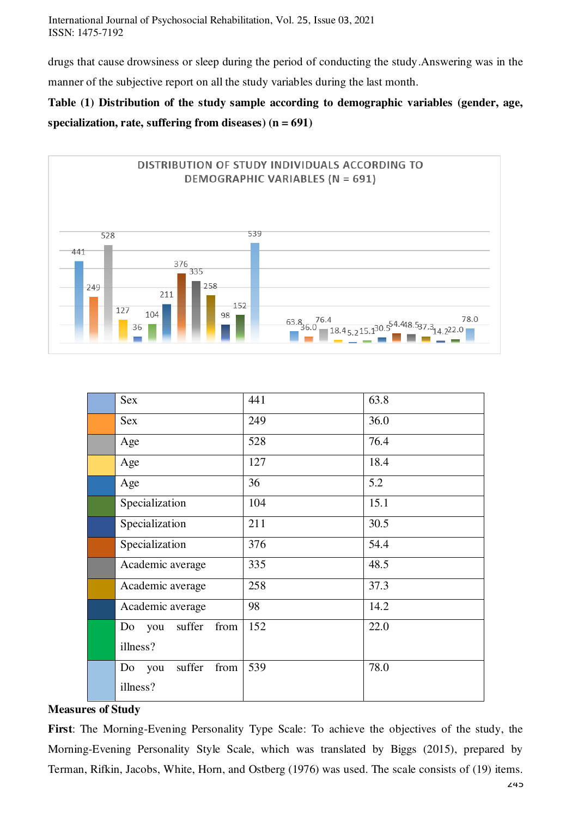drugs that cause drowsiness or sleep during the period of conducting the study.Answering was in the manner of the subjective report on all the study variables during the last month.

### **Table (1) Distribution of the study sample according to demographic variables (gender, age, specialization, rate, suffering from diseases) (n = 691)**



| Sex                      | 441 | 63.8 |
|--------------------------|-----|------|
| <b>Sex</b>               | 249 | 36.0 |
| Age                      | 528 | 76.4 |
| Age                      | 127 | 18.4 |
| Age                      | 36  | 5.2  |
| Specialization           | 104 | 15.1 |
| Specialization           | 211 | 30.5 |
| Specialization           | 376 | 54.4 |
| Academic average         | 335 | 48.5 |
| Academic average         | 258 | 37.3 |
| Academic average         | 98  | 14.2 |
| suffer<br>from<br>Do you | 152 | 22.0 |
| illness?                 |     |      |
| suffer<br>from<br>Do you | 539 | 78.0 |
| illness?                 |     |      |

#### **Measures of Study**

**First**: The Morning-Evening Personality Type Scale: To achieve the objectives of the study, the Morning-Evening Personality Style Scale, which was translated by Biggs (2015), prepared by Terman, Rifkin, Jacobs, White, Horn, and Ostberg (1976) was used. The scale consists of (19) items.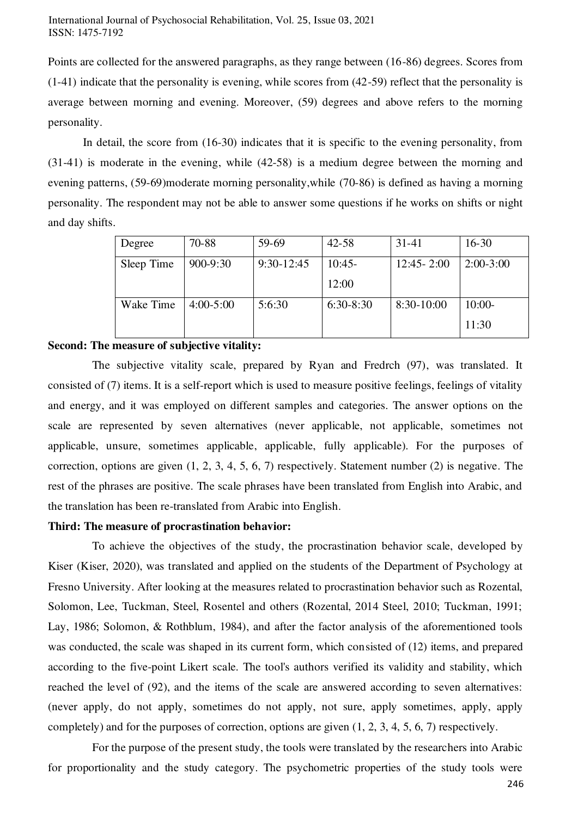Points are collected for the answered paragraphs, as they range between (16-86) degrees. Scores from (1-41) indicate that the personality is evening, while scores from (42-59) reflect that the personality is average between morning and evening. Moreover, (59) degrees and above refers to the morning personality.

 In detail, the score from (16-30) indicates that it is specific to the evening personality, from (31-41) is moderate in the evening, while (42-58) is a medium degree between the morning and evening patterns, (59-69)moderate morning personality,while (70-86) is defined as having a morning personality. The respondent may not be able to answer some questions if he works on shifts or night and day shifts.

| Degree     | 70-88       | 59-69        | $42 - 58$   | 31-41          | $16 - 30$   |
|------------|-------------|--------------|-------------|----------------|-------------|
| Sleep Time | 900-9:30    | $9:30-12:45$ | $10:45-$    | $12:45 - 2:00$ | $2:00-3:00$ |
|            |             |              | 12:00       |                |             |
| Wake Time  | $4:00-5:00$ | 5:6:30       | $6:30-8:30$ | 8:30-10:00     | $10:00-$    |
|            |             |              |             |                | 11:30       |

#### **Second: The measure of subjective vitality:**

 The subjective vitality scale, prepared by Ryan and Fredrch (97), was translated. It consisted of (7) items. It is a self-report which is used to measure positive feelings, feelings of vitality and energy, and it was employed on different samples and categories. The answer options on the scale are represented by seven alternatives (never applicable, not applicable, sometimes not applicable, unsure, sometimes applicable, applicable, fully applicable). For the purposes of correction, options are given (1, 2, 3, 4, 5, 6, 7) respectively. Statement number (2) is negative. The rest of the phrases are positive. The scale phrases have been translated from English into Arabic, and the translation has been re-translated from Arabic into English.

#### **Third: The measure of procrastination behavior:**

 To achieve the objectives of the study, the procrastination behavior scale, developed by Kiser (Kiser, 2020), was translated and applied on the students of the Department of Psychology at Fresno University. After looking at the measures related to procrastination behavior such as Rozental, Solomon, Lee, Tuckman, Steel, Rosentel and others (Rozental, 2014 Steel, 2010; Tuckman, 1991; Lay, 1986; Solomon, & Rothblum, 1984), and after the factor analysis of the aforementioned tools was conducted, the scale was shaped in its current form, which consisted of (12) items, and prepared according to the five-point Likert scale. The tool's authors verified its validity and stability, which reached the level of (92), and the items of the scale are answered according to seven alternatives: (never apply, do not apply, sometimes do not apply, not sure, apply sometimes, apply, apply completely) and for the purposes of correction, options are given (1, 2, 3, 4, 5, 6, 7) respectively.

 For the purpose of the present study, the tools were translated by the researchers into Arabic for proportionality and the study category. The psychometric properties of the study tools were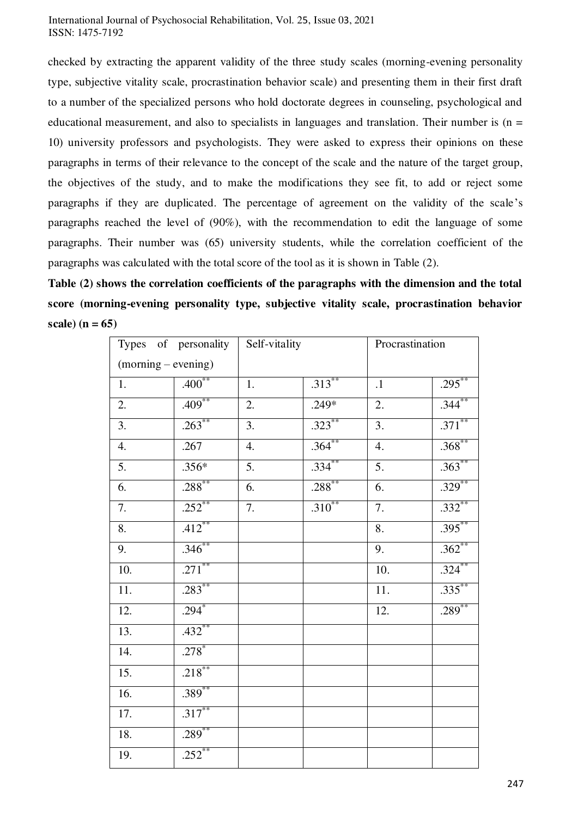checked by extracting the apparent validity of the three study scales (morning-evening personality type, subjective vitality scale, procrastination behavior scale) and presenting them in their first draft to a number of the specialized persons who hold doctorate degrees in counseling, psychological and educational measurement, and also to specialists in languages and translation. Their number is  $(n =$ 10) university professors and psychologists. They were asked to express their opinions on these paragraphs in terms of their relevance to the concept of the scale and the nature of the target group, the objectives of the study, and to make the modifications they see fit, to add or reject some paragraphs if they are duplicated. The percentage of agreement on the validity of the scale's paragraphs reached the level of (90%), with the recommendation to edit the language of some paragraphs. Their number was (65) university students, while the correlation coefficient of the paragraphs was calculated with the total score of the tool as it is shown in Table (2).

**Table (2) shows the correlation coefficients of the paragraphs with the dimension and the total score (morning-evening personality type, subjective vitality scale, procrastination behavior scale) (n = 65)** 

|                       | Types of personality | Self-vitality    |             | Procrastination  |           |
|-----------------------|----------------------|------------------|-------------|------------------|-----------|
| $(morning - evening)$ |                      |                  |             |                  |           |
| 1.                    | $.400**$             | 1.               | $.313***$   | $\cdot$ 1        | $.295***$ |
| $\overline{2}$ .      | $.409***$            | 2.               | $.249*$     | 2.               | $.344***$ |
| $\overline{3}$ .      | $.263***$            | 3.               | $.323***$   | $\overline{3}$ . | $.371***$ |
| 4.                    | .267                 | 4.               | $.364***$   | 4.               | $.368***$ |
| $\overline{5}$ .      | $.356*$              | $\overline{5}$ . | $.334***$   | $\overline{5}$ . | $.363***$ |
| 6.                    | $.288^{**}$          | $\overline{6}$ . | $.288***$   | $\overline{6}$ . | $.329***$ |
| 7.                    | $.252$ **            | $\overline{7}$ . | $.310^{**}$ | $\overline{7}$ . | $.332***$ |
| 8.                    | $.412$ **            |                  |             | 8.               | $.395***$ |
| 9.                    | $.346***$            |                  |             | 9.               | $.362**$  |
| 10.                   | $.271$ **            |                  |             | 10.              | $.324***$ |
| 11.                   | $.283***$            |                  |             | 11.              | $.335***$ |
| 12.                   | $.294*$              |                  |             | 12.              | $.289***$ |
| 13.                   | $.432$ **            |                  |             |                  |           |
| 14.                   | $.278*$              |                  |             |                  |           |
| 15.                   | $.218***$            |                  |             |                  |           |
| 16.                   | $.389**$             |                  |             |                  |           |
| 17.                   | $.317***$            |                  |             |                  |           |
| 18.                   | $.289***$            |                  |             |                  |           |
| 19.                   | $.252***$            |                  |             |                  |           |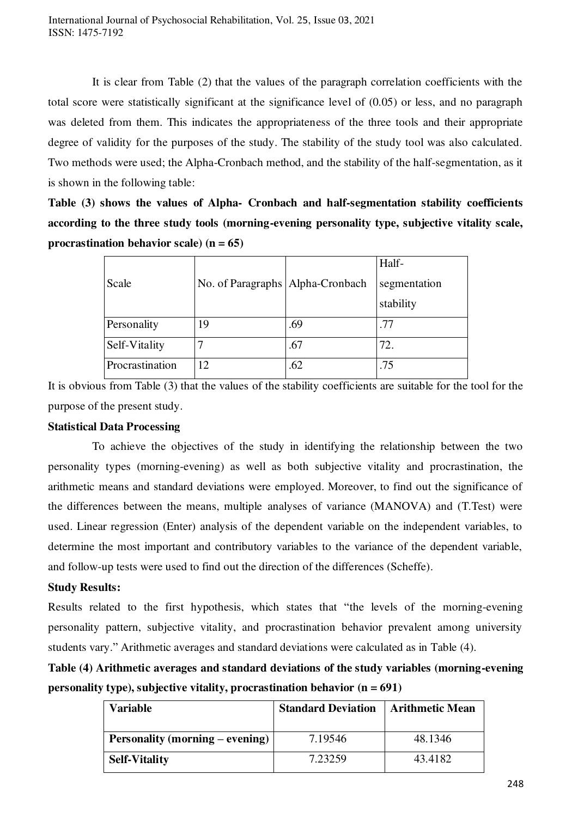It is clear from Table (2) that the values of the paragraph correlation coefficients with the total score were statistically significant at the significance level of (0.05) or less, and no paragraph was deleted from them. This indicates the appropriateness of the three tools and their appropriate degree of validity for the purposes of the study. The stability of the study tool was also calculated. Two methods were used; the Alpha-Cronbach method, and the stability of the half-segmentation, as it is shown in the following table:

**Table (3) shows the values of Alpha- Cronbach and half-segmentation stability coefficients according to the three study tools (morning-evening personality type, subjective vitality scale, procrastination behavior scale) (n = 65)** 

|                 |                                    |     | Half-        |
|-----------------|------------------------------------|-----|--------------|
| Scale           | No. of Paragraphs   Alpha-Cronbach |     | segmentation |
|                 |                                    |     | stability    |
| Personality     | 19                                 | .69 | .77          |
| Self-Vitality   |                                    | .67 | 72.          |
| Procrastination | 12                                 | .62 | .75          |

It is obvious from Table (3) that the values of the stability coefficients are suitable for the tool for the purpose of the present study.

#### **Statistical Data Processing**

 To achieve the objectives of the study in identifying the relationship between the two personality types (morning-evening) as well as both subjective vitality and procrastination, the arithmetic means and standard deviations were employed. Moreover, to find out the significance of the differences between the means, multiple analyses of variance (MANOVA) and (T.Test) were used. Linear regression (Enter) analysis of the dependent variable on the independent variables, to determine the most important and contributory variables to the variance of the dependent variable, and follow-up tests were used to find out the direction of the differences (Scheffe).

#### **Study Results:**

Results related to the first hypothesis, which states that "the levels of the morning-evening personality pattern, subjective vitality, and procrastination behavior prevalent among university students vary." Arithmetic averages and standard deviations were calculated as in Table (4).

**Table (4) Arithmetic averages and standard deviations of the study variables (morning-evening personality type), subjective vitality, procrastination behavior (n = 691)** 

| <b>Variable</b>                        | <b>Standard Deviation</b> | <b>Arithmetic Mean</b> |
|----------------------------------------|---------------------------|------------------------|
| <b>Personality (morning – evening)</b> | 7.19546                   | 48.1346                |
| <b>Self-Vitality</b>                   | 7.23259                   | 43.4182                |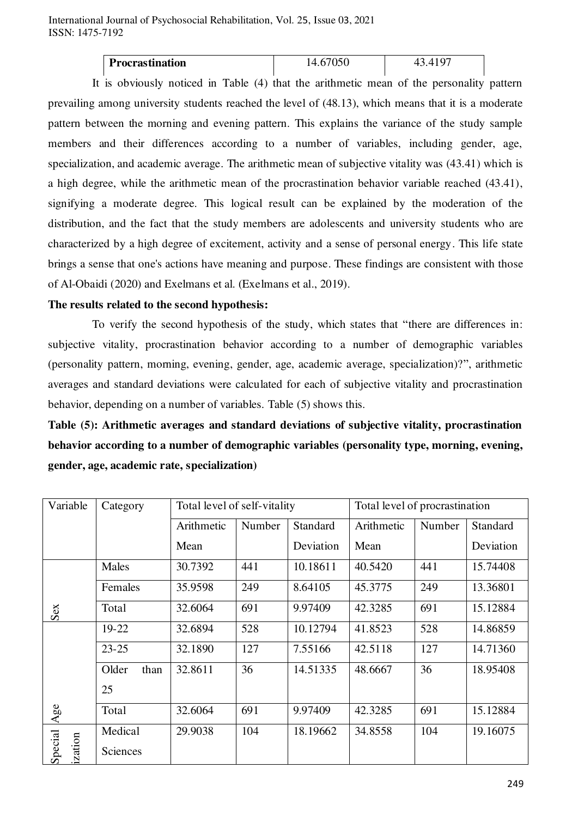| <b>Procrastination</b> |  |
|------------------------|--|
|                        |  |

 It is obviously noticed in Table (4) that the arithmetic mean of the personality pattern prevailing among university students reached the level of (48.13), which means that it is a moderate pattern between the morning and evening pattern. This explains the variance of the study sample members and their differences according to a number of variables, including gender, age, specialization, and academic average. The arithmetic mean of subjective vitality was (43.41) which is a high degree, while the arithmetic mean of the procrastination behavior variable reached (43.41), signifying a moderate degree. This logical result can be explained by the moderation of the distribution, and the fact that the study members are adolescents and university students who are characterized by a high degree of excitement, activity and a sense of personal energy. This life state brings a sense that one's actions have meaning and purpose. These findings are consistent with those of Al-Obaidi (2020) and Exelmans et al. (Exelmans et al., 2019).

#### **The results related to the second hypothesis:**

 To verify the second hypothesis of the study, which states that "there are differences in: subjective vitality, procrastination behavior according to a number of demographic variables (personality pattern, morning, evening, gender, age, academic average, specialization)?", arithmetic averages and standard deviations were calculated for each of subjective vitality and procrastination behavior, depending on a number of variables. Table (5) shows this.

**Table (5): Arithmetic averages and standard deviations of subjective vitality, procrastination behavior according to a number of demographic variables (personality type, morning, evening, gender, age, academic rate, specialization)** 

| Variable          | Category      | Total level of self-vitality |        | Total level of procrastination |            |        |           |
|-------------------|---------------|------------------------------|--------|--------------------------------|------------|--------|-----------|
|                   |               | Arithmetic                   | Number | Standard                       | Arithmetic | Number | Standard  |
|                   |               | Mean                         |        | Deviation                      | Mean       |        | Deviation |
|                   | Males         | 30.7392                      | 441    | 10.18611                       | 40.5420    | 441    | 15.74408  |
|                   | Females       | 35.9598                      | 249    | 8.64105                        | 45.3775    | 249    | 13.36801  |
| Sex               | Total         | 32.6064                      | 691    | 9.97409                        | 42.3285    | 691    | 15.12884  |
|                   | 19-22         | 32.6894                      | 528    | 10.12794                       | 41.8523    | 528    | 14.86859  |
|                   | $23 - 25$     | 32.1890                      | 127    | 7.55166                        | 42.5118    | 127    | 14.71360  |
|                   | Older<br>than | 32.8611                      | 36     | 14.51335                       | 48.6667    | 36     | 18.95408  |
|                   | 25            |                              |        |                                |            |        |           |
| Age               | Total         | 32.6064                      | 691    | 9.97409                        | 42.3285    | 691    | 15.12884  |
|                   | Medical       | 29.9038                      | 104    | 18.19662                       | 34.8558    | 104    | 19.16075  |
| Special<br>zation | Sciences      |                              |        |                                |            |        |           |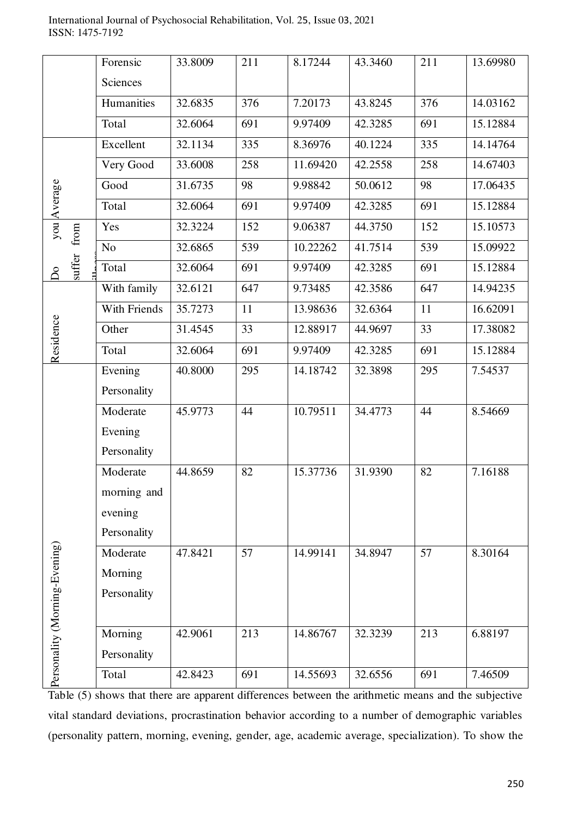| International Journal of Psychosocial Rehabilitation, Vol. 25, Issue 03, 2021 |  |  |  |
|-------------------------------------------------------------------------------|--|--|--|
| ISSN: 1475-7192                                                               |  |  |  |

|                               | Forensic       | 33.8009 | 211 | 8.17244  | 43.3460 | 211 | 13.69980 |
|-------------------------------|----------------|---------|-----|----------|---------|-----|----------|
|                               | Sciences       |         |     |          |         |     |          |
|                               | Humanities     | 32.6835 | 376 | 7.20173  | 43.8245 | 376 | 14.03162 |
|                               | Total          | 32.6064 | 691 | 9.97409  | 42.3285 | 691 | 15.12884 |
|                               | Excellent      | 32.1134 | 335 | 8.36976  | 40.1224 | 335 | 14.14764 |
|                               | Very Good      | 33.6008 | 258 | 11.69420 | 42.2558 | 258 | 14.67403 |
|                               | Good           | 31.6735 | 98  | 9.98842  | 50.0612 | 98  | 17.06435 |
| you Average                   | Total          | 32.6064 | 691 | 9.97409  | 42.3285 | 691 | 15.12884 |
| from                          | Yes            | 32.3224 | 152 | 9.06387  | 44.3750 | 152 | 15.10573 |
|                               | N <sub>o</sub> | 32.6865 | 539 | 10.22262 | 41.7514 | 539 | 15.09922 |
| suffer<br>$\delta$            | Total          | 32.6064 | 691 | 9.97409  | 42.3285 | 691 | 15.12884 |
|                               | With family    | 32.6121 | 647 | 9.73485  | 42.3586 | 647 | 14.94235 |
|                               | With Friends   | 35.7273 | 11  | 13.98636 | 32.6364 | 11  | 16.62091 |
|                               | Other          | 31.4545 | 33  | 12.88917 | 44.9697 | 33  | 17.38082 |
| Residence                     | Total          | 32.6064 | 691 | 9.97409  | 42.3285 | 691 | 15.12884 |
|                               | Evening        | 40.8000 | 295 | 14.18742 | 32.3898 | 295 | 7.54537  |
|                               | Personality    |         |     |          |         |     |          |
|                               | Moderate       | 45.9773 | 44  | 10.79511 | 34.4773 | 44  | 8.54669  |
|                               | Evening        |         |     |          |         |     |          |
|                               | Personality    |         |     |          |         |     |          |
|                               | Moderate       | 44.8659 | 82  | 15.37736 | 31.9390 | 82  | 7.16188  |
|                               | morning and    |         |     |          |         |     |          |
|                               | evening        |         |     |          |         |     |          |
|                               | Personality    |         |     |          |         |     |          |
|                               | Moderate       | 47.8421 | 57  | 14.99141 | 34.8947 | 57  | 8.30164  |
|                               | Morning        |         |     |          |         |     |          |
|                               | Personality    |         |     |          |         |     |          |
|                               |                |         |     |          |         |     |          |
|                               | Morning        | 42.9061 | 213 | 14.86767 | 32.3239 | 213 | 6.88197  |
|                               | Personality    |         |     |          |         |     |          |
| Personality (Morning-Evening) | Total          | 42.8423 | 691 | 14.55693 | 32.6556 | 691 | 7.46509  |

Table (5) shows that there are apparent differences between the arithmetic means and the subjective vital standard deviations, procrastination behavior according to a number of demographic variables (personality pattern, morning, evening, gender, age, academic average, specialization). To show the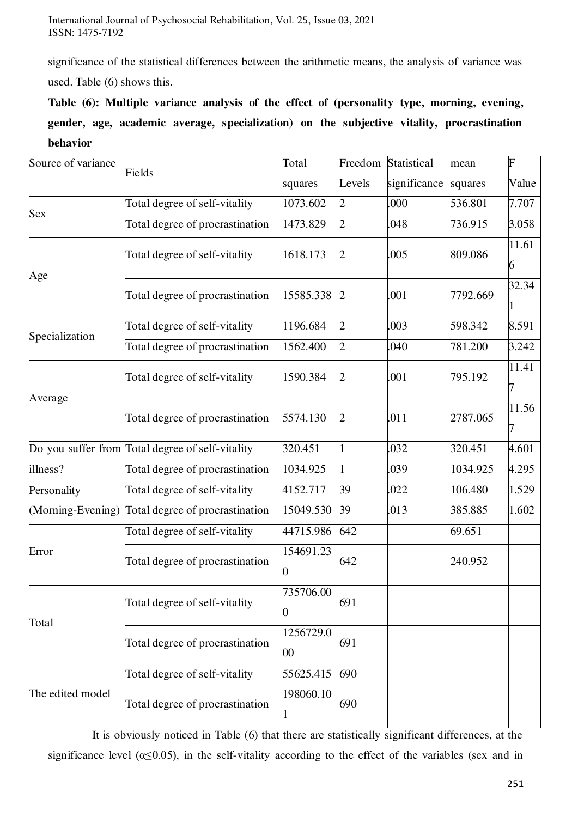significance of the statistical differences between the arithmetic means, the analysis of variance was used. Table (6) shows this.

**Table (6): Multiple variance analysis of the effect of (personality type, morning, evening, gender, age, academic average, specialization) on the subjective vitality, procrastination behavior** 

| Source of variance | Fields                                           | Total                        | Freedom        | <b>Statistical</b> | mean     | F          |
|--------------------|--------------------------------------------------|------------------------------|----------------|--------------------|----------|------------|
|                    |                                                  | squares                      | Levels         | significance       | squares  | Value      |
| <b>Sex</b>         | Total degree of self-vitality                    | 1073.602                     | $\overline{2}$ | .000               | 536.801  | 7.707      |
|                    | Total degree of procrastination                  | 1473.829                     | $\overline{2}$ | .048               | 736.915  | 3.058      |
|                    | Total degree of self-vitality                    | 1618.173                     | $\overline{2}$ | .005               | 809.086  | 11.61<br>6 |
| Age                | Total degree of procrastination                  | 15585.338                    | $\overline{2}$ | .001               | 7792.669 | 32.34      |
| Specialization     | Total degree of self-vitality                    | 1196.684                     | $\overline{2}$ | .003               | 598.342  | 8.591      |
|                    | Total degree of procrastination                  | 1562.400                     | $\overline{2}$ | .040               | 781.200  | 3.242      |
| Average            | Total degree of self-vitality                    | 1590.384                     | 2              | .001               | 795.192  | 11.41      |
|                    | Total degree of procrastination                  | 5574.130                     | $\overline{2}$ | .011               | 2787.065 | 11.56      |
|                    | Do you suffer from Total degree of self-vitality | 320.451                      | 1              | .032               | 320.451  | 4.601      |
| illness?           | Total degree of procrastination                  | 1034.925                     | 1              | .039               | 1034.925 | 4.295      |
| Personality        | Total degree of self-vitality                    | 4152.717                     | 39             | .022               | 106.480  | 1.529      |
| (Morning-Evening)  | Total degree of procrastination                  | 15049.530                    | 39             | .013               | 385.885  | 1.602      |
|                    | Total degree of self-vitality                    | 44715.986                    | 642            |                    | 69.651   |            |
| Error              | Total degree of procrastination                  | 154691.23                    | 642            |                    | 240.952  |            |
| Total              | Total degree of self-vitality                    | 735706.00                    | 691            |                    |          |            |
|                    | Total degree of procrastination                  | 1256729.0<br>$\overline{00}$ | 691            |                    |          |            |
|                    | Total degree of self-vitality                    | 55625.415                    | 690            |                    |          |            |
| The edited model   | Total degree of procrastination                  | 198060.10                    | 690            |                    |          |            |

 It is obviously noticed in Table (6) that there are statistically significant differences, at the significance level ( $\alpha \le 0.05$ ), in the self-vitality according to the effect of the variables (sex and in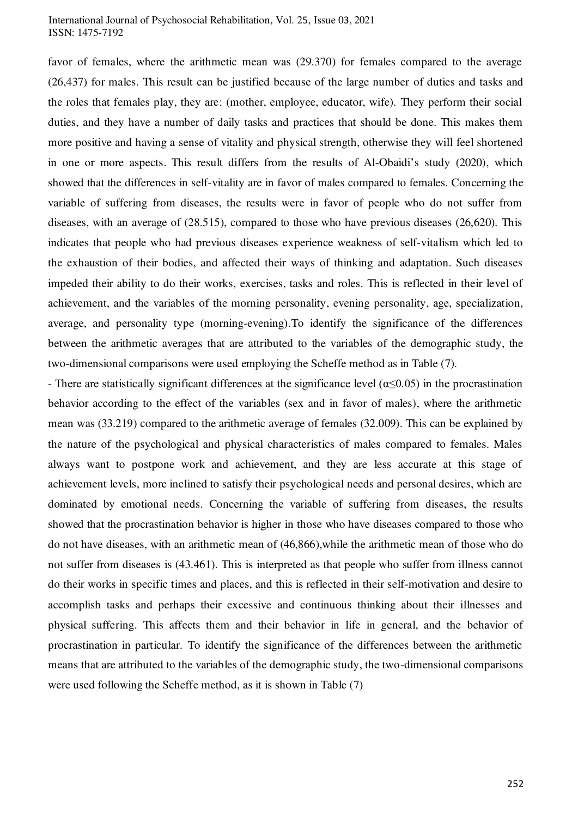favor of females, where the arithmetic mean was (29.370) for females compared to the average (26,437) for males. This result can be justified because of the large number of duties and tasks and the roles that females play, they are: (mother, employee, educator, wife). They perform their social duties, and they have a number of daily tasks and practices that should be done. This makes them more positive and having a sense of vitality and physical strength, otherwise they will feel shortened in one or more aspects. This result differs from the results of Al-Obaidi's study (2020), which showed that the differences in self-vitality are in favor of males compared to females. Concerning the variable of suffering from diseases, the results were in favor of people who do not suffer from diseases, with an average of (28.515), compared to those who have previous diseases (26,620). This indicates that people who had previous diseases experience weakness of self-vitalism which led to the exhaustion of their bodies, and affected their ways of thinking and adaptation. Such diseases impeded their ability to do their works, exercises, tasks and roles. This is reflected in their level of achievement, and the variables of the morning personality, evening personality, age, specialization, average, and personality type (morning-evening).To identify the significance of the differences between the arithmetic averages that are attributed to the variables of the demographic study, the two-dimensional comparisons were used employing the Scheffe method as in Table (7).

- There are statistically significant differences at the significance level ( $\alpha \le 0.05$ ) in the procrastination behavior according to the effect of the variables (sex and in favor of males), where the arithmetic mean was (33.219) compared to the arithmetic average of females (32.009). This can be explained by the nature of the psychological and physical characteristics of males compared to females. Males always want to postpone work and achievement, and they are less accurate at this stage of achievement levels, more inclined to satisfy their psychological needs and personal desires, which are dominated by emotional needs. Concerning the variable of suffering from diseases, the results showed that the procrastination behavior is higher in those who have diseases compared to those who do not have diseases, with an arithmetic mean of (46,866),while the arithmetic mean of those who do not suffer from diseases is (43.461). This is interpreted as that people who suffer from illness cannot do their works in specific times and places, and this is reflected in their self-motivation and desire to accomplish tasks and perhaps their excessive and continuous thinking about their illnesses and physical suffering. This affects them and their behavior in life in general, and the behavior of procrastination in particular. To identify the significance of the differences between the arithmetic means that are attributed to the variables of the demographic study, the two-dimensional comparisons were used following the Scheffe method, as it is shown in Table (7)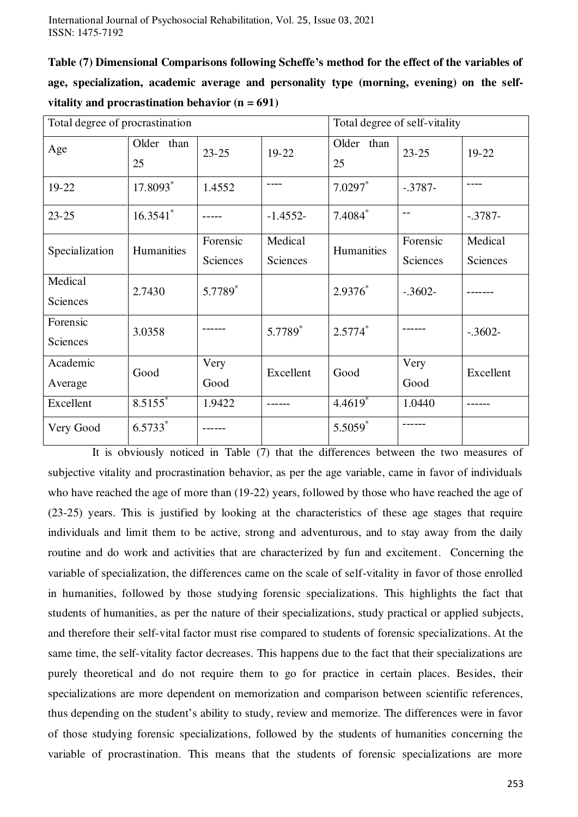**Table (7) Dimensional Comparisons following Scheffe's method for the effect of the variables of age, specialization, academic average and personality type (morning, evening) on the selfvitality and procrastination behavior (n = 691)** 

| Total degree of procrastination |                       |           |            | Total degree of self-vitality |            |            |  |
|---------------------------------|-----------------------|-----------|------------|-------------------------------|------------|------------|--|
| Age                             | Older than<br>25      | $23 - 25$ | 19-22      | Older than<br>25              | $23 - 25$  | 19-22      |  |
| 19-22                           | 17.8093*              | 1.4552    | ----       | $7.0297$ *                    | $-0.3787-$ |            |  |
| $23 - 25$                       | $16.3541$ *           |           | $-1.4552-$ | $7.4084*$                     |            | $-0.3787-$ |  |
|                                 | Humanities            | Forensic  | Medical    | Humanities                    | Forensic   | Medical    |  |
| Specialization                  |                       | Sciences  | Sciences   |                               | Sciences   | Sciences   |  |
| Medical                         | 2.7430                | 5.7789*   |            | $2.9376*$                     | $-.3602-$  |            |  |
| Sciences                        |                       |           |            |                               |            |            |  |
| Forensic                        | 3.0358                |           | 5.7789*    | $2.5774*$                     |            | $-.3602-$  |  |
| Sciences                        |                       |           |            |                               |            |            |  |
| Academic                        | Good                  | Very      | Excellent  | Good                          | Very       | Excellent  |  |
| Average                         |                       | Good      |            |                               | Good       |            |  |
| Excellent                       | $8.5155$ <sup>*</sup> | 1.9422    |            | $4.4619*$                     | 1.0440     |            |  |
| Very Good                       | $6.5733*$             |           |            | $5.5059*$                     |            |            |  |

 It is obviously noticed in Table (7) that the differences between the two measures of subjective vitality and procrastination behavior, as per the age variable, came in favor of individuals who have reached the age of more than (19-22) years, followed by those who have reached the age of (23-25) years. This is justified by looking at the characteristics of these age stages that require individuals and limit them to be active, strong and adventurous, and to stay away from the daily routine and do work and activities that are characterized by fun and excitement. Concerning the variable of specialization, the differences came on the scale of self-vitality in favor of those enrolled in humanities, followed by those studying forensic specializations. This highlights the fact that students of humanities, as per the nature of their specializations, study practical or applied subjects, and therefore their self-vital factor must rise compared to students of forensic specializations. At the same time, the self-vitality factor decreases. This happens due to the fact that their specializations are purely theoretical and do not require them to go for practice in certain places. Besides, their specializations are more dependent on memorization and comparison between scientific references, thus depending on the student's ability to study, review and memorize. The differences were in favor of those studying forensic specializations, followed by the students of humanities concerning the variable of procrastination. This means that the students of forensic specializations are more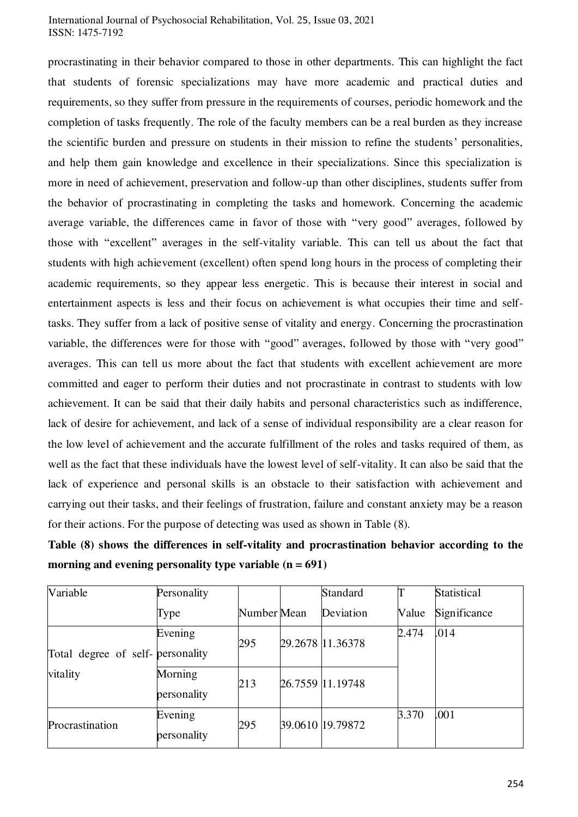procrastinating in their behavior compared to those in other departments. This can highlight the fact that students of forensic specializations may have more academic and practical duties and requirements, so they suffer from pressure in the requirements of courses, periodic homework and the completion of tasks frequently. The role of the faculty members can be a real burden as they increase the scientific burden and pressure on students in their mission to refine the students' personalities, and help them gain knowledge and excellence in their specializations. Since this specialization is more in need of achievement, preservation and follow-up than other disciplines, students suffer from the behavior of procrastinating in completing the tasks and homework. Concerning the academic average variable, the differences came in favor of those with "very good" averages, followed by those with "excellent" averages in the self-vitality variable. This can tell us about the fact that students with high achievement (excellent) often spend long hours in the process of completing their academic requirements, so they appear less energetic. This is because their interest in social and entertainment aspects is less and their focus on achievement is what occupies their time and selftasks. They suffer from a lack of positive sense of vitality and energy. Concerning the procrastination variable, the differences were for those with "good" averages, followed by those with "very good" averages. This can tell us more about the fact that students with excellent achievement are more committed and eager to perform their duties and not procrastinate in contrast to students with low achievement. It can be said that their daily habits and personal characteristics such as indifference, lack of desire for achievement, and lack of a sense of individual responsibility are a clear reason for the low level of achievement and the accurate fulfillment of the roles and tasks required of them, as well as the fact that these individuals have the lowest level of self-vitality. It can also be said that the lack of experience and personal skills is an obstacle to their satisfaction with achievement and carrying out their tasks, and their feelings of frustration, failure and constant anxiety may be a reason for their actions. For the purpose of detecting was used as shown in Table (8).

**Table (8) shows the differences in self-vitality and procrastination behavior according to the morning and evening personality type variable (n = 691)** 

| Variable                         | Personality            |             | Standard         |       | Statistical  |
|----------------------------------|------------------------|-------------|------------------|-------|--------------|
|                                  | Type                   | Number Mean | Deviation        | Value | Significance |
| Total degree of self-personality | Evening                | 295         | 29.2678 11.36378 | 2.474 | .014         |
| vitality                         | Morning<br>personality | 213         | 26.7559 11.19748 |       |              |
| Procrastination                  | Evening<br>personality | 295         | 39.0610 19.79872 | 3.370 | .001         |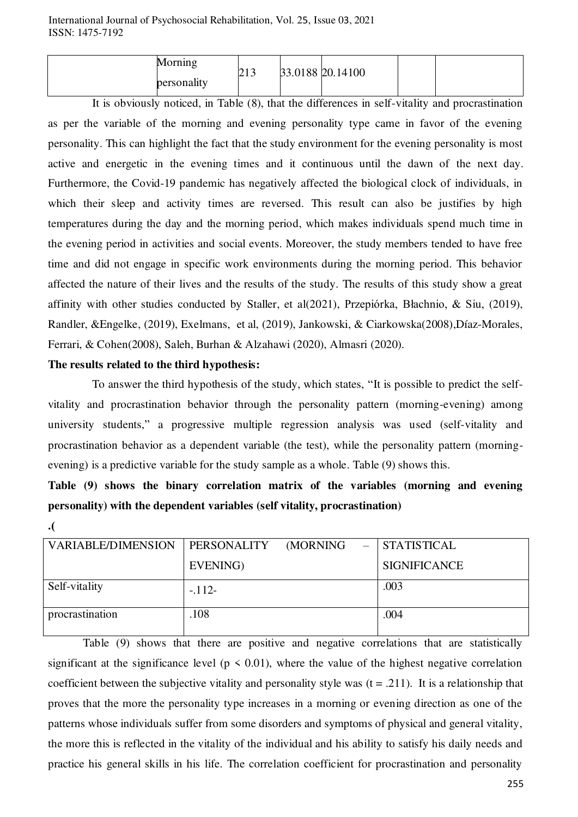| Morning     | ل 1 ک | 33.0188 20.14100 |  |
|-------------|-------|------------------|--|
| personality |       |                  |  |

 It is obviously noticed, in Table (8), that the differences in self-vitality and procrastination as per the variable of the morning and evening personality type came in favor of the evening personality. This can highlight the fact that the study environment for the evening personality is most active and energetic in the evening times and it continuous until the dawn of the next day. Furthermore, the Covid-19 pandemic has negatively affected the biological clock of individuals, in which their sleep and activity times are reversed. This result can also be justifies by high temperatures during the day and the morning period, which makes individuals spend much time in the evening period in activities and social events. Moreover, the study members tended to have free time and did not engage in specific work environments during the morning period. This behavior affected the nature of their lives and the results of the study. The results of this study show a great affinity with other studies conducted by Staller, et al(2021), Przepiórka, Błachnio, & Siu, (2019), Randler, &Engelke, (2019), Exelmans, et al, (2019), Jankowski, & Ciarkowska(2008),Díaz-Morales, Ferrari, & Cohen(2008), Saleh, Burhan & Alzahawi (2020), Almasri (2020).

#### **The results related to the third hypothesis:**

 To answer the third hypothesis of the study, which states, "It is possible to predict the selfvitality and procrastination behavior through the personality pattern (morning-evening) among university students," a progressive multiple regression analysis was used (self-vitality and procrastination behavior as a dependent variable (the test), while the personality pattern (morningevening) is a predictive variable for the study sample as a whole. Table (9) shows this.

**Table (9) shows the binary correlation matrix of the variables (morning and evening personality) with the dependent variables (self vitality, procrastination)** 

**<sup>.)</sup>**

| VARIABLE/DIMENSION | PERSONALITY | (MORNING | <b>STATISTICAL</b>  |
|--------------------|-------------|----------|---------------------|
|                    | EVENING)    |          | <b>SIGNIFICANCE</b> |
| Self-vitality      | $-112-$     |          | .003                |
| procrastination    | 108         |          | .004                |

 Table (9) shows that there are positive and negative correlations that are statistically significant at the significance level ( $p \le 0.01$ ), where the value of the highest negative correlation coefficient between the subjective vitality and personality style was  $(t = .211)$ . It is a relationship that proves that the more the personality type increases in a morning or evening direction as one of the patterns whose individuals suffer from some disorders and symptoms of physical and general vitality, the more this is reflected in the vitality of the individual and his ability to satisfy his daily needs and practice his general skills in his life. The correlation coefficient for procrastination and personality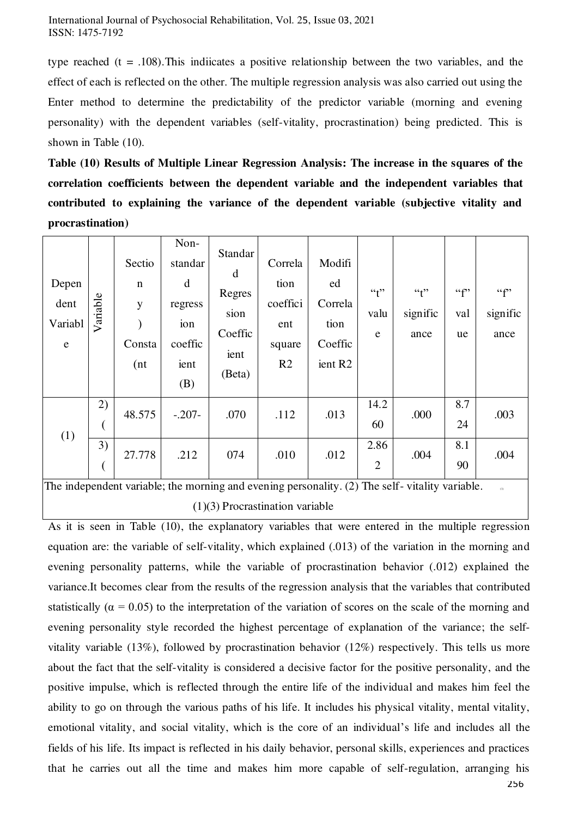type reached (t = .108). This indiicates a positive relationship between the two variables, and the effect of each is reflected on the other. The multiple regression analysis was also carried out using the Enter method to determine the predictability of the predictor variable (morning and evening personality) with the dependent variables (self-vitality, procrastination) being predicted. This is shown in Table (10).

**Table (10) Results of Multiple Linear Regression Analysis: The increase in the squares of the correlation coefficients between the dependent variable and the independent variables that contributed to explaining the variance of the dependent variable (subjective vitality and procrastination)** 

| Depen<br>dent<br>Variabl<br>$\mathbf e$                                                       | Variable | Sectio<br>$\mathbf n$<br>y<br>Consta<br>(nt) | Non-<br>standar<br>d<br>regress<br>ion<br>coeffic<br>ient<br>(B) | Standar<br>d<br>Regres<br>sion<br>Coeffic<br>ient<br>(Beta) | Correla<br>tion<br>coeffici<br>ent<br>square<br>R <sub>2</sub> | Modifi<br>ed<br>Correla<br>tion<br>Coeffic<br>ient R <sub>2</sub> | ``f"<br>valu<br>e      | ``f"<br>signific<br>ance | ``f"<br>val<br>ue | ``f"<br>signific<br>ance |
|-----------------------------------------------------------------------------------------------|----------|----------------------------------------------|------------------------------------------------------------------|-------------------------------------------------------------|----------------------------------------------------------------|-------------------------------------------------------------------|------------------------|--------------------------|-------------------|--------------------------|
| (1)                                                                                           | 2)       | 48.575                                       | $-.207-$                                                         | .070                                                        | .112                                                           | .013                                                              | 14.2<br>60             | .000                     | 8.7<br>24         | .003                     |
|                                                                                               | 3)       | 27.778                                       | .212                                                             | 074                                                         | .010                                                           | .012                                                              | 2.86<br>$\overline{2}$ | .004                     | 8.1<br>90         | .004                     |
| The independent variable: the morning and evening personality (2) The self- vitality variable |          |                                              |                                                                  |                                                             |                                                                |                                                                   |                        |                          |                   |                          |

The independent variable; the morning and evening personality. (2) The self- vitality variable.  $(1)(3)$  Procrastination variable

As it is seen in Table (10), the explanatory variables that were entered in the multiple regression equation are: the variable of self-vitality, which explained (.013) of the variation in the morning and evening personality patterns, while the variable of procrastination behavior (.012) explained the variance.It becomes clear from the results of the regression analysis that the variables that contributed statistically ( $\alpha$  = 0.05) to the interpretation of the variation of scores on the scale of the morning and evening personality style recorded the highest percentage of explanation of the variance; the selfvitality variable (13%), followed by procrastination behavior (12%) respectively. This tells us more about the fact that the self-vitality is considered a decisive factor for the positive personality, and the positive impulse, which is reflected through the entire life of the individual and makes him feel the ability to go on through the various paths of his life. It includes his physical vitality, mental vitality, emotional vitality, and social vitality, which is the core of an individual's life and includes all the fields of his life. Its impact is reflected in his daily behavior, personal skills, experiences and practices that he carries out all the time and makes him more capable of self-regulation, arranging his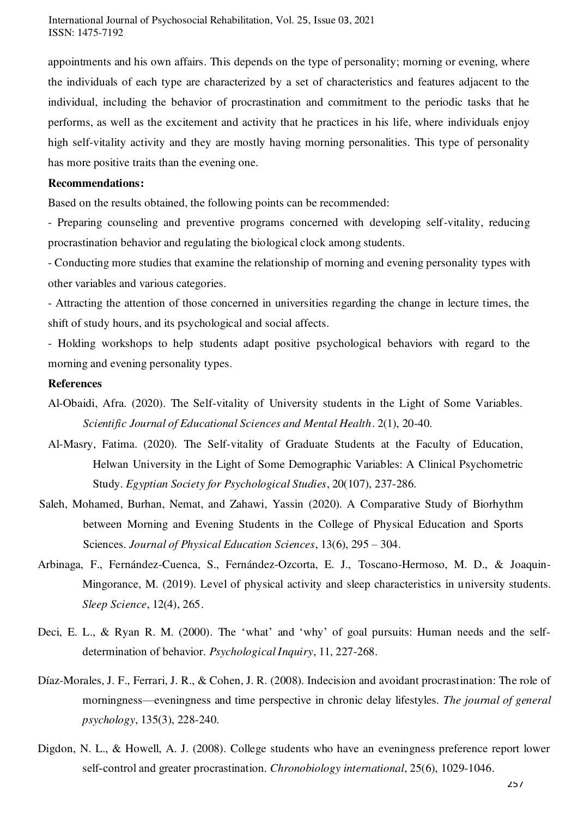appointments and his own affairs. This depends on the type of personality; morning or evening, where the individuals of each type are characterized by a set of characteristics and features adjacent to the individual, including the behavior of procrastination and commitment to the periodic tasks that he performs, as well as the excitement and activity that he practices in his life, where individuals enjoy high self-vitality activity and they are mostly having morning personalities. This type of personality has more positive traits than the evening one.

#### **Recommendations:**

Based on the results obtained, the following points can be recommended:

- Preparing counseling and preventive programs concerned with developing self-vitality, reducing procrastination behavior and regulating the biological clock among students.

- Conducting more studies that examine the relationship of morning and evening personality types with other variables and various categories.

- Attracting the attention of those concerned in universities regarding the change in lecture times, the shift of study hours, and its psychological and social affects.

- Holding workshops to help students adapt positive psychological behaviors with regard to the morning and evening personality types.

#### **References**

Al-Obaidi, Afra. (2020). The Self-vitality of University students in the Light of Some Variables. *Scientific Journal of Educational Sciences and Mental Health*. 2(1), 20-40.

- Al-Masry, Fatima. (2020). The Self-vitality of Graduate Students at the Faculty of Education, Helwan University in the Light of Some Demographic Variables: A Clinical Psychometric Study. *Egyptian Society for Psychological Studies*, 20(107), 237-286.
- Saleh, Mohamed, Burhan, Nemat, and Zahawi, Yassin (2020). A Comparative Study of Biorhythm between Morning and Evening Students in the College of Physical Education and Sports Sciences. *Journal of Physical Education Sciences*, 13(6), 295 – 304.
- Arbinaga, F., Fernández-Cuenca, S., Fernández-Ozcorta, E. J., Toscano-Hermoso, M. D., & Joaquin-Mingorance, M. (2019). Level of physical activity and sleep characteristics in university students. *Sleep Science*, 12(4), 265 .
- Deci, E. L., & Ryan R. M. (2000). The 'what' and 'why' of goal pursuits: Human needs and the selfdetermination of behavior. *Psychological Inquiry*, 11, 227-268.
- Díaz-Morales, J. F., Ferrari, J. R., & Cohen, J. R. (2008). Indecision and avoidant procrastination: The role of morningness—eveningness and time perspective in chronic delay lifestyles. *The journal of general psychology*, 135(3), 228-240.
- Digdon, N. L., & Howell, A. J. (2008). College students who have an eveningness preference report lower self‐control and greater procrastination. *Chronobiology international*, 25(6), 1029-1046 .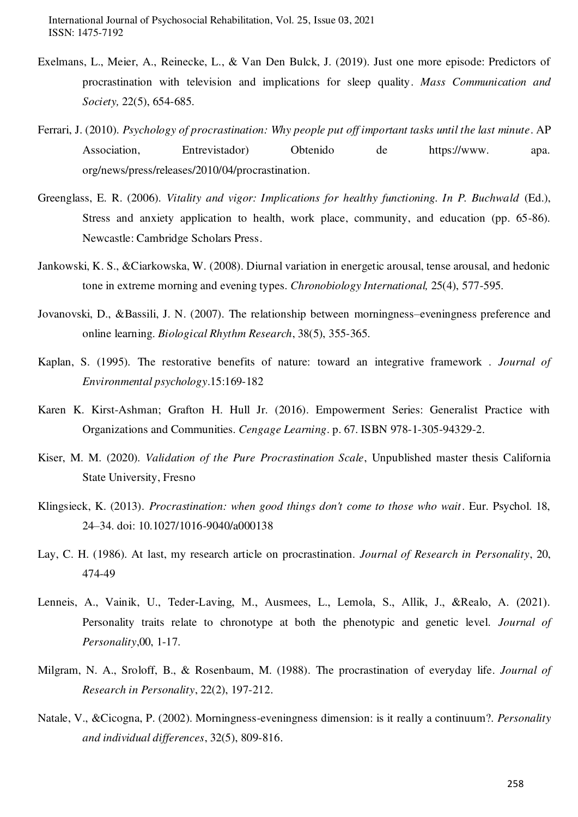- Exelmans, L., Meier, A., Reinecke, L., & Van Den Bulck, J. (2019). Just one more episode: Predictors of procrastination with television and implications for sleep quality. *Mass Communication and Society,* 22(5), 654-685.
- Ferrari, J. (2010). *Psychology of procrastination: Why people put off important tasks until the last minute*. AP Association, Entrevistador) Obtenido de https://www. apa. org/news/press/releases/2010/04/procrastination .
- Greenglass, E. R. (2006). *Vitality and vigor: Implications for healthy functioning. In P. Buchwald* (Ed.), Stress and anxiety application to health, work place, community, and education (pp. 65-86). Newcastle: Cambridge Scholars Press.
- Jankowski, K. S., &Ciarkowska, W. (2008). Diurnal variation in energetic arousal, tense arousal, and hedonic tone in extreme morning and evening types. *Chronobiology International,* 25(4), 577-595.
- Jovanovski, D., &Bassili, J. N. (2007). The relationship between morningness–eveningness preference and online learning. *Biological Rhythm Research*, 38(5), 355-365.
- Kaplan, S. (1995). The restorative benefits of nature: toward an integrative framework . *Journal of Environmental psychology*.15:169-182
- Karen K. Kirst-Ashman; Grafton H. Hull Jr. (2016). Empowerment Series: Generalist Practice with Organizations and Communities. *Cengage Learning*. p. 67. ISBN 978-1-305-94329-2.
- Kiser, M. M. (2020). *Validation of the Pure Procrastination Scale*, Unpublished master thesis California State University, Fresno
- Klingsieck, K. (2013). *Procrastination: when good things don't come to those who wait*. Eur. Psychol. 18, 24–34. doi: 10.1027/1016-9040/a000138
- Lay, C. H. (1986). At last, my research article on procrastination. *Journal of Research in Personality*, 20, 474-49
- Lenneis, A., Vainik, U., Teder‐Laving, M., Ausmees, L., Lemola, S., Allik, J., &Realo, A. (2021). Personality traits relate to chronotype at both the phenotypic and genetic level. *Journal of Personality*,00, 1-17.
- Milgram, N. A., Sroloff, B., & Rosenbaum, M. (1988). The procrastination of everyday life. *Journal of Research in Personality*, 22(2), 197-212 .
- Natale, V., &Cicogna, P. (2002). Morningness-eveningness dimension: is it really a continuum?. *Personality and individual differences*, 32(5), 809-816.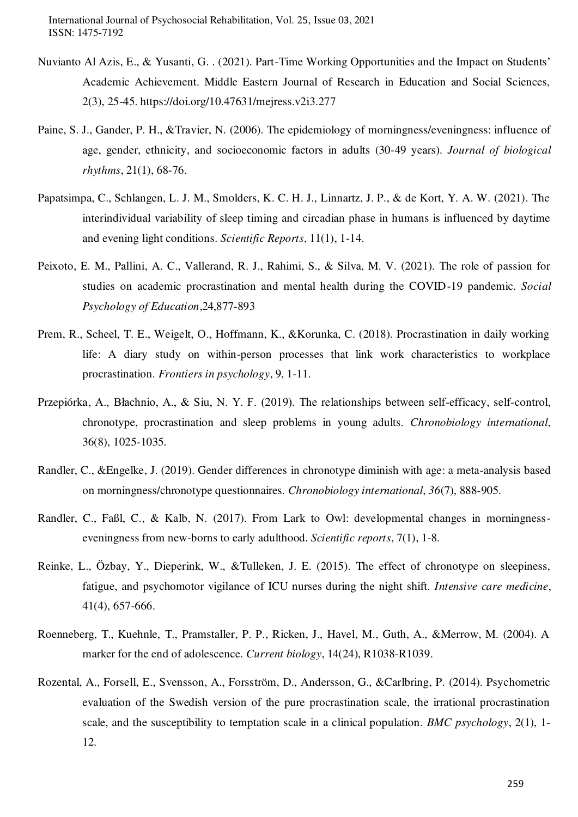- Nuvianto Al Azis, E., & Yusanti, G. . (2021). Part-Time Working Opportunities and the Impact on Students' Academic Achievement. Middle Eastern Journal of Research in Education and Social Sciences, 2(3), 25-45. https://doi.org/10.47631/mejress.v2i3.277
- Paine, S. J., Gander, P. H., &Travier, N. (2006). The epidemiology of morningness/eveningness: influence of age, gender, ethnicity, and socioeconomic factors in adults (30-49 years). *Journal of biological rhythms*, 21(1), 68-76 .
- Papatsimpa, C., Schlangen, L. J. M., Smolders, K. C. H. J., Linnartz, J. P., & de Kort, Y. A. W. (2021). The interindividual variability of sleep timing and circadian phase in humans is influenced by daytime and evening light conditions. *Scientific Reports*, 11(1), 1-14.
- Peixoto, E. M., Pallini, A. C., Vallerand, R. J., Rahimi, S., & Silva, M. V. (2021). The role of passion for studies on academic procrastination and mental health during the COVID-19 pandemic. *Social Psychology of Education*,24,877-893
- Prem, R., Scheel, T. E., Weigelt, O., Hoffmann, K., &Korunka, C. (2018). Procrastination in daily working life: A diary study on within-person processes that link work characteristics to workplace procrastination. *Frontiers in psychology*, 9, 1-11.
- Przepiórka, A., Błachnio, A., & Siu, N. Y. F. (2019). The relationships between self-efficacy, self-control, chronotype, procrastination and sleep problems in young adults. *Chronobiology international*, 36(8), 1025-1035.
- Randler, C., &Engelke, J. (2019). Gender differences in chronotype diminish with age: a meta-analysis based on morningness/chronotype questionnaires. *Chronobiology international*, *36*(7), 888-905.
- Randler, C., Faßl, C., & Kalb, N. (2017). From Lark to Owl: developmental changes in morningnesseveningness from new-borns to early adulthood. *Scientific reports*, 7(1), 1-8.
- Reinke, L., Özbay, Y., Dieperink, W., &Tulleken, J. E. (2015). The effect of chronotype on sleepiness, fatigue, and psychomotor vigilance of ICU nurses during the night shift. *Intensive care medicine*, 41(4), 657-666 .
- Roenneberg, T., Kuehnle, T., Pramstaller, P. P., Ricken, J., Havel, M., Guth, A., &Merrow, M. (2004). A marker for the end of adolescence. *Current biology*, 14(24), R1038-R1039.
- Rozental, A., Forsell, E., Svensson, A., Forsström, D., Andersson, G., &Carlbring, P. (2014). Psychometric evaluation of the Swedish version of the pure procrastination scale, the irrational procrastination scale, and the susceptibility to temptation scale in a clinical population*. BMC psychology*, 2(1), 1- 12.